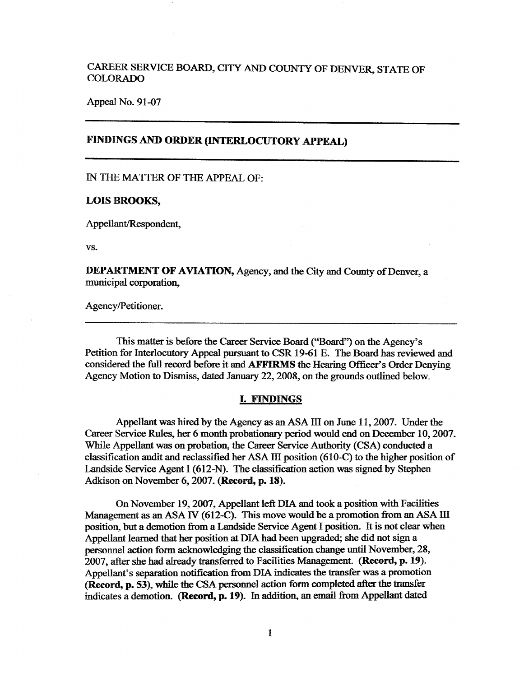# CAREER SERVICE BOARD, CITY AND COUNTY OF DENVER, STATE OF COLORADO

Appeal No. 91-07

## **FINDINGS AND ORDER (INTERLOCUTORY APPEAL)**

IN THE MATTER OF THE APPEAL OF:

### **LOIS BROOKS,**

Appellant/Respondent,

vs.

**DEPARTMENT OF AVIATION,** Agency, and the City and County of Denver, a municipal corporation,

Agency/Petitioner.

This matter is before the Career Service Board ("Board") on the Agency's Petition for Interlocutory Appeal pursuant to CSR 19-61 E. The Board has reviewed and considered the full record before it and AFFIRMS the Hearing Officer's Order Denying Agency Motion to Dismiss, dated January 22, 2008, on the grounds outlined below.

#### **L FINDINGS**

Appellant was hired by the Agency as an ASA III on June 11, 2007. Under the Career Service Rules, her 6 month probationary period would end on December 10, 2007. While Appellant was on probation, the Career Service Authority (CSA) conducted a classification audit and reclassified her ASA III position (610-C) to the higher position of Landside Service Agent I (612-N). The classification action was signed by Stephen Adkison on November 6, 2007. **(Record, p. 18).** 

On November 19, 2007, Appellant left DIA and took a position with Facilities Management as an ASA *N* (612-C). This move would be a promotion from an ASA III position, but a demotion from a Landside Service Agent I position. It is not clear when Appellant learned that her position at DIA had been upgraded; she did not sign a personnel action form acknowledging the classification change until November, 28, 2007, after she had already transferred to Facilities Management. (Record, p. 19). Appellant's separation notification from DIA indicates the transfer was a promotion (Record, p. 53), while the CSA personnel action form completed after the transfer indicates a demotion. (Record, p. 19). In addition, an email from Appellant dated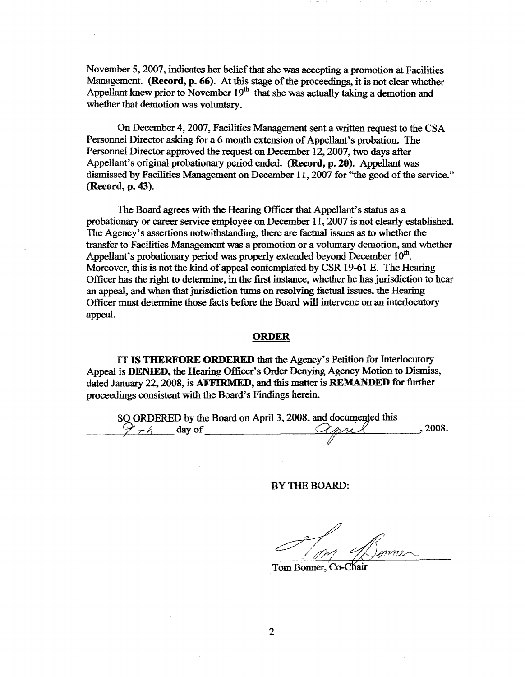November 5, 2007, indicates her belief that she was accepting a promotion at Facilities Management. **(Record, p. 66).** At this stage of the proceedings, it is not clear whether Appellant knew prior to November  $19<sup>th</sup>$  that she was actually taking a demotion and whether that demotion was voluntary.

On December 4, 2007, Facilities Management sent a written request to the CSA Personnel Director asking for a 6 month extension of Appellant's probation. The Personnel Director approved the request on December 12, 2007, two days after Appellant's original probationary period ended. **(Record, p. 20).** Appellant was dismissed by Facilities Management on December 11, 2007 for "the good of the service." (Record, **p. 43).** 

The Board agrees with the Hearing Officer that Appellant's status as a probationary or career service employee on December 11, 2007 is not clearly established. The Agency's assertions notwithstanding, there are factual issues as to whether the transfer to Facilities Management was a promotion or a voluntary demotion, and whether Appellant's probationary period was properly extended beyond December  $10<sup>th</sup>$ . Moreover, this is not the kind of appeal contemplated by CSR 19-61 E. The Hearing Officer has the right to determine, in the first instance, whether he has jurisdiction to hear an appeal, and when that jurisdiction turns on resolving factual issues, the Hearing Officer must determine those facts before the Board will intervene on an interlocutory appeal.

#### **ORDER**

IT **IS THERFORE ORDERED** that the Agency's Petition for Interlocutory Appeal is **DENIED,** the Hearing Officer's Order Denying Agency Motion to Dismiss, dated January 22, 2008, is AFFIRMED, and this matter is REMANDED for further proceedings consistent with the Board's Findings herein.

SO ORDERED by the Board on April 3, 2008, and documented this  $\frac{9 \times 10^{12}}{4}$  and of  $\frac{9 \times 10^{12}}{4}$  , 2008.

BY THE BOARD:

Tom Bonner, Co-C